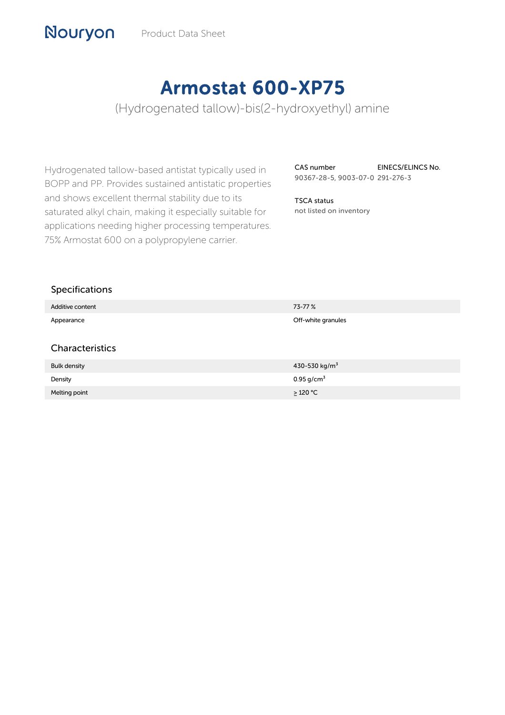# Armostat 600-XP75

(Hydrogenated tallow)-bis(2-hydroxyethyl) amine

Hydrogenated tallow-based antistat typically used in BOPP and PP. Provides sustained antistatic properties and shows excellent thermal stability due to its saturated alkyl chain, making it especially suitable for applications needing higher processing temperatures. 75% Armostat 600 on a polypropylene carrier.

CAS number 90367-28-5, 9003-07-0 291-276-3 EINECS/ELINCS No.

TSCA status not listed on inventory

## Specifications

Nouryon

| Additive content    | 73-77%                    |
|---------------------|---------------------------|
| Appearance          | Off-white granules        |
|                     |                           |
| Characteristics     |                           |
| <b>Bulk density</b> | 430-530 kg/m <sup>3</sup> |
| Density             | 0.95 $g/cm^{3}$           |
| Melting point       | $\geq$ 120 °C             |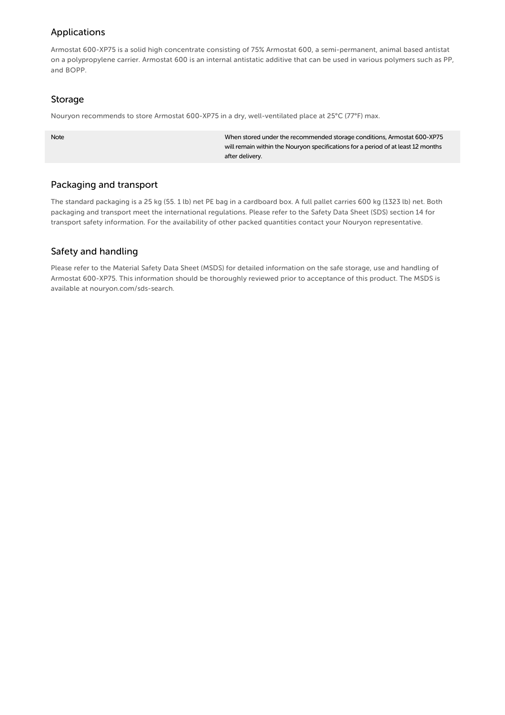## Applications

Armostat 600-XP75 is a solid high concentrate consisting of 75% Armostat 600, a semi-permanent, animal based antistat on a polypropylene carrier. Armostat 600 is an internal antistatic additive that can be used in various polymers such as PP, and BOPP.

#### Storage

Nouryon recommends to store Armostat 600-XP75 in a dry, well-ventilated place at 25°C (77°F) max.

When stored under the recommended storage conditions, Armostat 600-XP75 will remain within the Nouryon specifications for a period of at least 12 months after delivery.

## Packaging and transport

The standard packaging is a 25 kg (55. 1 lb) net PE bag in a cardboard box. A full pallet carries 600 kg (1323 lb) net. Both packaging and transport meet the international regulations. Please refer to the Safety Data Sheet (SDS) section 14 for transport safety information. For the availability of other packed quantities contact your Nouryon representative.

# Safety and handling

Please refer to the Material Safety Data Sheet (MSDS) for detailed information on the safe storage, use and handling of Armostat 600-XP75. This information should be thoroughly reviewed prior to acceptance of this product. The MSDS is available at nouryon.com/sds-search.